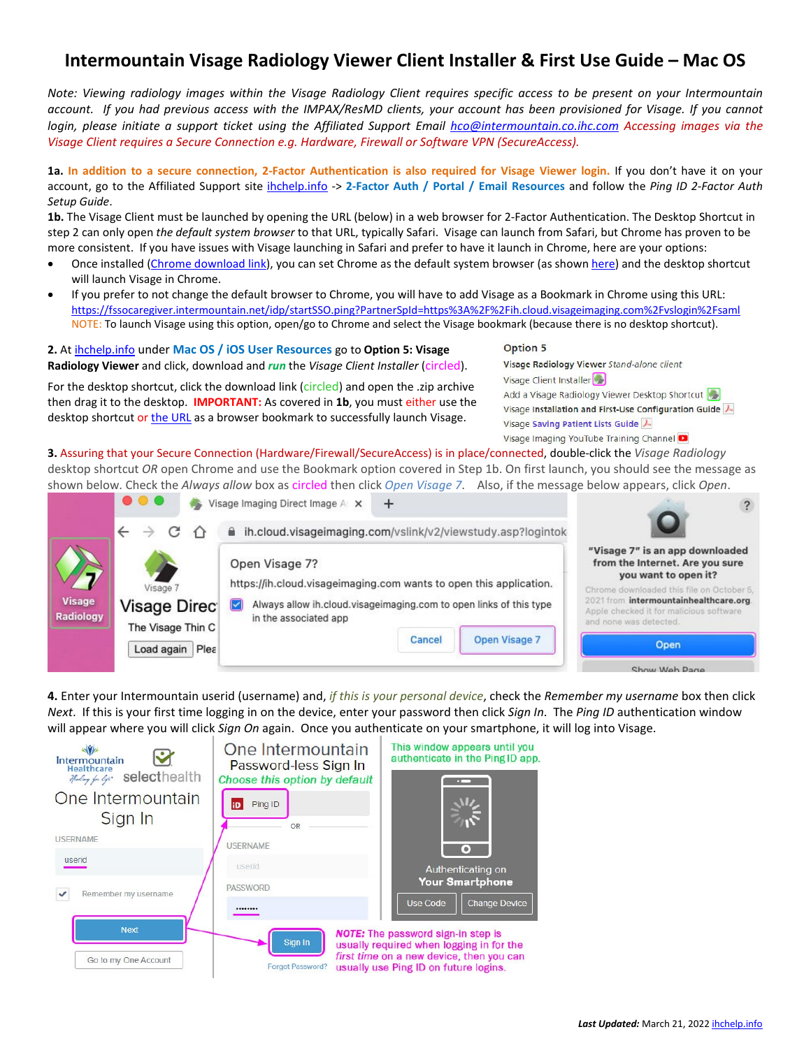## **Intermountain Visage Radiology Viewer Client Installer & First Use Guide – Mac OS**

*Note: Viewing radiology images within the Visage Radiology Client requires specific access to be present on your Intermountain account. If you had previous access with the IMPAX/ResMD clients, your account has been provisioned for Visage. If you cannot login, please initiate a support ticket using the Affiliated Support Email [hco@intermountain.co.ihc.com](mailto:hco@intermountain.co.ihc.com) Accessing images via the Visage Client requires a Secure Connection e.g. Hardware, Firewall or Software VPN (SecureAccess).*

**1a. In addition to a secure connection, 2-Factor Authentication is also required for Visage Viewer login.** If you don't have it on your account, go to the Affiliated Support site [ihchelp.info](https://intermountainhealthcare.org/other-audiences/affiliated-support) -> **2-Factor Auth / Portal / Email Resources** and follow the *Ping ID 2-Factor Auth Setup Guide*.

**1b.** The Visage Client must be launched by opening the URL (below) in a web browser for 2-Factor Authentication. The Desktop Shortcut in step 2 can only open *the default system browser* to that URL, typically Safari. Visage can launch from Safari, but Chrome has proven to be more consistent. If you have issues with Visage launching in Safari and prefer to have it launch in Chrome, here are your options:

- Once installed (Chrome [download link\)](https://www.google.com/chrome/), you can set Chrome as the default system browser (as show[n here\)](https://support.apple.com/en-us/HT201607) and the desktop shortcut will launch Visage in Chrome.
- If you prefer to not change the default browser to Chrome, you will have to add Visage as a Bookmark in Chrome using this URL: <https://fssocaregiver.intermountain.net/idp/startSSO.ping?PartnerSpId=https%3A%2F%2Fih.cloud.visageimaging.com%2Fvslogin%2Fsaml> NOTE: To launch Visage using this option, open/go to Chrome and select the Visage bookmark (because there is no desktop shortcut).

**2.** At [ihchelp.info](https://intermountainhealthcare.org/other-audiences/affiliated-support) under **Mac OS / iOS User Resources** go to **Option 5: Visage** 

**Radiology Viewer** and click, download and *run* the *Visage Client Installer* (circled).

For the desktop shortcut, click the download link (circled) and open the .zip archive then drag it to the desktop. **IMPORTANT:** As covered in **1b**, you must either use the desktop shortcut or [the URL](https://fssocaregiver.intermountain.net/idp/startSSO.ping?PartnerSpId=https%3A%2F%2Fih.cloud.visageimaging.com%2Fvslogin%2Fsaml) as a browser bookmark to successfully launch Visage.

Visage Radiology Viewer Stand-alone client Visage Client Installer Add a Visage Radiology Viewer Desktop Shortcut Visage Installation and First-Use Configuration Guide Visage Saving Patient Lists Guide A Visage Imaging YouTube Training Channel

Option 5

**3.** Assuring that your Secure Connection (Hardware/Firewall/SecureAccess) is in place/connected, double-click the *Visage Radiology* desktop shortcut *OR* open Chrome and use the Bookmark option covered in Step 1b. On first launch, you should see the message as shown below. Check the *Always allow* box as circled then click *Open Visage 7*. Also, if the message below appears, click *Open*.

|                     | $\bullet$ $\bullet$ $\bullet$<br>Visage Imaging Direct Image A X | $\overline{?}$                                                                                                                                                                           |                                                                                                                                                                                                                                                               |  |  |
|---------------------|------------------------------------------------------------------|------------------------------------------------------------------------------------------------------------------------------------------------------------------------------------------|---------------------------------------------------------------------------------------------------------------------------------------------------------------------------------------------------------------------------------------------------------------|--|--|
|                     |                                                                  | ih.cloud.visageimaging.com/vslink/v2/viewstudy.asp?logintok<br>Ω                                                                                                                         | "Visage 7" is an app downloaded<br>from the Internet. Are you sure<br>you want to open it?<br>Chrome downloaded this file on October 5.<br>2021 from intermountainhealthcare.org<br>Apple checked it for malicious software<br>and none was detected.<br>Open |  |  |
| Visage<br>Radiology | Visage 7<br>Visage Direc                                         | Open Visage 7?<br>https://ih.cloud.visageimaging.com wants to open this application.<br>Always allow ih.cloud.visageimaging.com to open links of this type<br>M<br>in the associated app |                                                                                                                                                                                                                                                               |  |  |
|                     | The Visage Thin C<br>Load again Plea                             | <b>Open Visage 7</b><br>Cancel                                                                                                                                                           |                                                                                                                                                                                                                                                               |  |  |
|                     |                                                                  |                                                                                                                                                                                          | Show Web Page                                                                                                                                                                                                                                                 |  |  |

**4.** Enter your Intermountain userid (username) and, *if this is your personal device*, check the *Remember my username* box then click *Next*. If this is your first time logging in on the device, enter your password then click *Sign In*. The *Ping ID* authentication window will appear where you will click *Sign On* again. Once you authenticate on your smartphone, it will log into Visage.



Last Updated: March 21, 2022 [ihchelp.info](https://intermountainhealthcare.org/other-audiences/affiliated-support)